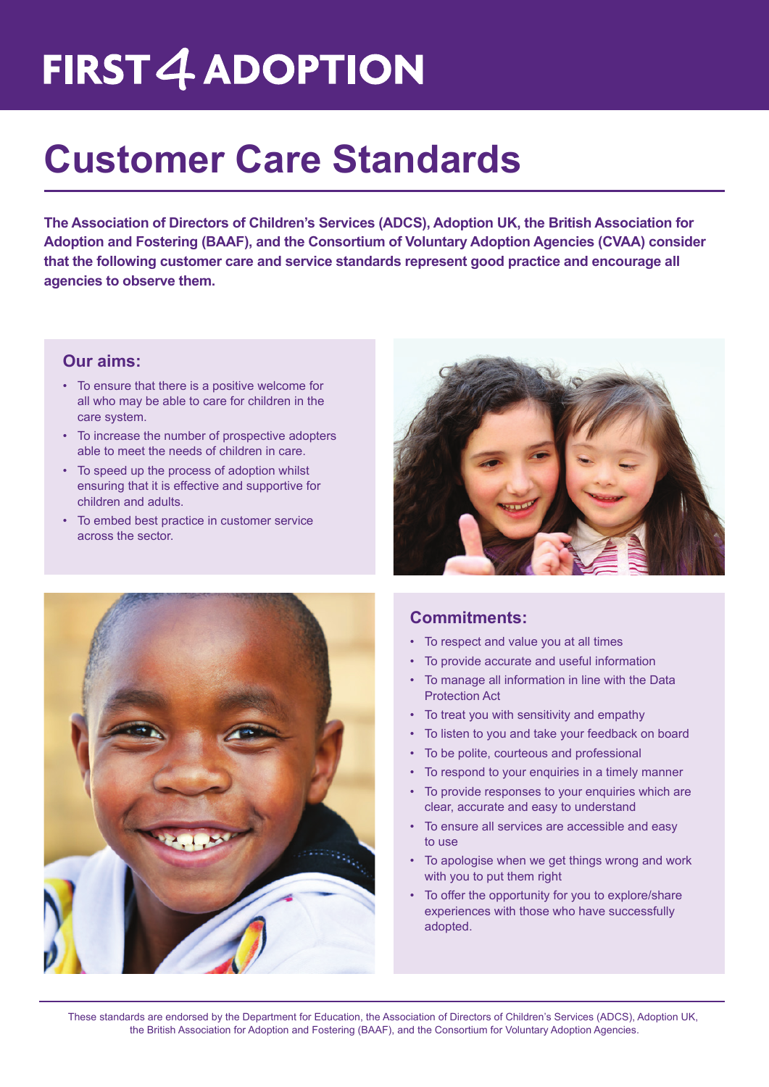# **FIRST 4 ADOPTION**

# **Customer Care Standards**

**The Association of Directors of Children's Services (ADCS), Adoption UK, the British Association for Adoption and Fostering (BAAF), and the Consortium of Voluntary Adoption Agencies (CVAA) consider that the following customer care and service standards represent good practice and encourage all agencies to observe them.** 

#### **Our aims:**

- To ensure that there is a positive welcome for all who may be able to care for children in the care system.
- • To increase the number of prospective adopters able to meet the needs of children in care.
- To speed up the process of adoption whilst ensuring that it is effective and supportive for children and adults.
- • To embed best practice in customer service across the sector.





### **Commitments:**

- • To respect and value you at all times
- • To provide accurate and useful information
- To manage all information in line with the Data Protection Act
- • To treat you with sensitivity and empathy
- To listen to you and take your feedback on board
- To be polite, courteous and professional
- To respond to your enquiries in a timely manner
- To provide responses to your enquiries which are clear, accurate and easy to understand
- To ensure all services are accessible and easy to use
- To apologise when we get things wrong and work with you to put them right
- To offer the opportunity for you to explore/share experiences with those who have successfully adopted.

These standards are endorsed by the Department for Education, the Association of Directors of Children's Services (ADCS), Adoption UK, the British Association for Adoption and Fostering (BAAF), and the Consortium for Voluntary Adoption Agencies.